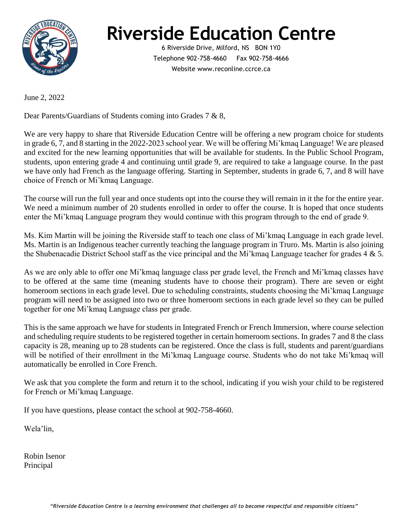

## **Riverside Education Centre**

6 Riverside Drive, Milford, NS BON 1Y0 Telephone 902-758-4660 Fax 902-758-4666 Website www.reconline.ccrce.ca

June 2, 2022

Dear Parents/Guardians of Students coming into Grades 7 & 8,

We are very happy to share that Riverside Education Centre will be offering a new program choice for students in grade 6, 7, and 8 starting in the 2022-2023 school year. We will be offering Mi'kmaq Language! We are pleased and excited for the new learning opportunities that will be available for students. In the Public School Program, students, upon entering grade 4 and continuing until grade 9, are required to take a language course. In the past we have only had French as the language offering. Starting in September, students in grade 6, 7, and 8 will have choice of French or Mi'kmaq Language.

The course will run the full year and once students opt into the course they will remain in it the for the entire year. We need a minimum number of 20 students enrolled in order to offer the course. It is hoped that once students enter the Mi'kmaq Language program they would continue with this program through to the end of grade 9.

Ms. Kim Martin will be joining the Riverside staff to teach one class of Mi'kmaq Language in each grade level. Ms. Martin is an Indigenous teacher currently teaching the language program in Truro. Ms. Martin is also joining the Shubenacadie District School staff as the vice principal and the Mi'kmaq Language teacher for grades  $4 \& 5$ .

As we are only able to offer one Mi'kmaq language class per grade level, the French and Mi'kmaq classes have to be offered at the same time (meaning students have to choose their program). There are seven or eight homeroom sections in each grade level. Due to scheduling constraints, students choosing the Mi'kmaq Language program will need to be assigned into two or three homeroom sections in each grade level so they can be pulled together for one Mi'kmaq Language class per grade.

This is the same approach we have for students in Integrated French or French Immersion, where course selection and scheduling require students to be registered together in certain homeroom sections. In grades 7 and 8 the class capacity is 28, meaning up to 28 students can be registered. Once the class is full, students and parent/guardians will be notified of their enrollment in the Mi'kmaq Language course. Students who do not take Mi'kmaq will automatically be enrolled in Core French.

We ask that you complete the form and return it to the school, indicating if you wish your child to be registered for French or Mi'kmaq Language.

If you have questions, please contact the school at 902-758-4660.

Wela'lin,

Robin Isenor Principal